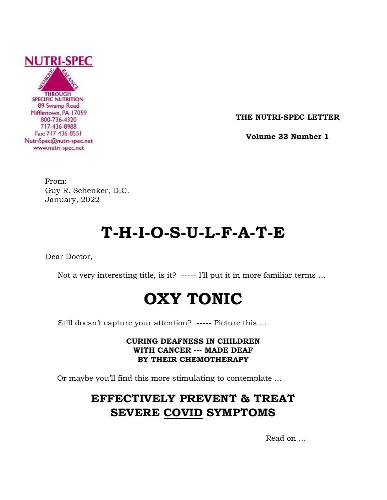

**THE NUTRI-SPEC LETTER**

 **Volume 33 Number 1**

From: Guy R. Schenker, D.C. January, 2022

# **T-H-I-O-S-U-L-F-A-T-E**

Dear Doctor,

Not a very interesting title, is it? ----- I'll put it in more familiar terms …

# **OXY TONIC**

Still doesn't capture your attention? ----- Picture this …

# **CURING DEAFNESS IN CHILDREN WITH CANCER --- MADE DEAF BY THEIR CHEMOTHERAPY**

Or maybe you'll find this more stimulating to contemplate …

# **EFFECTIVELY PREVENT & TREAT SEVERE COVID SYMPTOMS**

Read on …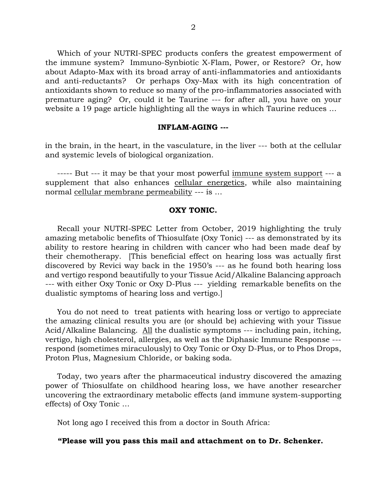Which of your NUTRI-SPEC products confers the greatest empowerment of the immune system? Immuno-Synbiotic X-Flam, Power, or Restore? Or, how about Adapto-Max with its broad array of anti-inflammatories and antioxidants and anti-reductants? Or perhaps Oxy-Max with its high concentration of antioxidants shown to reduce so many of the pro-inflammatories associated with premature aging? Or, could it be Taurine --- for after all, you have on your website a 19 page article highlighting all the ways in which Taurine reduces …

#### **INFLAM-AGING ---**

in the brain, in the heart, in the vasculature, in the liver --- both at the cellular and systemic levels of biological organization.

----- But --- it may be that your most powerful immune system support --- a supplement that also enhances cellular energetics, while also maintaining normal cellular membrane permeability --- is …

#### **OXY TONIC.**

 Recall your NUTRI-SPEC Letter from October, 2019 highlighting the truly amazing metabolic benefits of Thiosulfate (Oxy Tonic) --- as demonstrated by its ability to restore hearing in children with cancer who had been made deaf by their chemotherapy. [This beneficial effect on hearing loss was actually first discovered by Revici way back in the 1950's --- as he found both hearing loss and vertigo respond beautifully to your Tissue Acid/Alkaline Balancing approach --- with either Oxy Tonic or Oxy D-Plus --- yielding remarkable benefits on the dualistic symptoms of hearing loss and vertigo.]

 You do not need to treat patients with hearing loss or vertigo to appreciate the amazing clinical results you are (or should be) achieving with your Tissue Acid/Alkaline Balancing. All the dualistic symptoms --- including pain, itching, vertigo, high cholesterol, allergies, as well as the Diphasic Immune Response -- respond (sometimes miraculously) to Oxy Tonic or Oxy D-Plus, or to Phos Drops, Proton Plus, Magnesium Chloride, or baking soda.

 Today, two years after the pharmaceutical industry discovered the amazing power of Thiosulfate on childhood hearing loss, we have another researcher uncovering the extraordinary metabolic effects (and immune system-supporting effects) of Oxy Tonic …

Not long ago I received this from a doctor in South Africa:

### **"Please will you pass this mail and attachment on to Dr. Schenker.**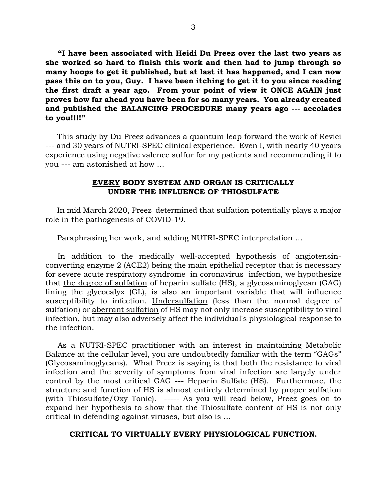**"I have been associated with Heidi Du Preez over the last two years as she worked so hard to finish this work and then had to jump through so many hoops to get it published, but at last it has happened, and I can now pass this on to you, Guy. I have been itching to get it to you since reading the first draft a year ago. From your point of view it ONCE AGAIN just proves how far ahead you have been for so many years. You already created and published the BALANCING PROCEDURE many years ago --- accolades to you!!!!"**

 This study by Du Preez advances a quantum leap forward the work of Revici --- and 30 years of NUTRI-SPEC clinical experience. Even I, with nearly 40 years experience using negative valence sulfur for my patients and recommending it to you --- am astonished at how …

### **EVERY BODY SYSTEM AND ORGAN IS CRITICALLY UNDER THE INFLUENCE OF THIOSULFATE**

 In mid March 2020, Preez determined that sulfation potentially plays a major role in the pathogenesis of COVID-19.

Paraphrasing her work, and adding NUTRI-SPEC interpretation …

 In addition to the medically well-accepted hypothesis of angiotensinconverting enzyme 2 (ACE2) being the main epithelial receptor that is necessary for severe acute respiratory syndrome in coronavirus infection, we hypothesize that the degree of sulfation of heparin sulfate (HS), a glycosaminoglycan (GAG) lining the glycocalyx (GL), is also an important variable that will influence susceptibility to infection. Undersulfation (less than the normal degree of sulfation) or aberrant sulfation of HS may not only increase susceptibility to viral infection, but may also adversely affect the individual's physiological response to the infection.

 As a NUTRI-SPEC practitioner with an interest in maintaining Metabolic Balance at the cellular level, you are undoubtedly familiar with the term "GAGs" (Glycosaminoglycans). What Preez is saying is that both the resistance to viral infection and the severity of symptoms from viral infection are largely under control by the most critical GAG --- Heparin Sulfate (HS). Furthermore, the structure and function of HS is almost entirely determined by proper sulfation (with Thiosulfate/Oxy Tonic). ----- As you will read below, Preez goes on to expand her hypothesis to show that the Thiosulfate content of HS is not only critical in defending against viruses, but also is …

### **CRITICAL TO VIRTUALLY EVERY PHYSIOLOGICAL FUNCTION.**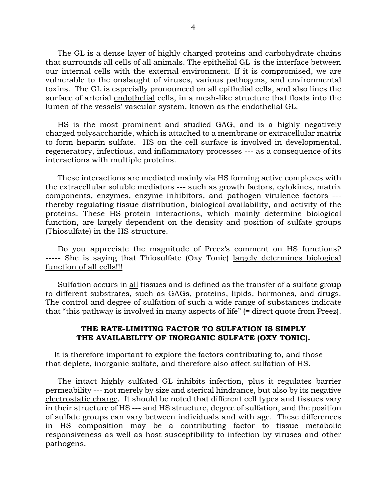The GL is a dense layer of highly charged proteins and carbohydrate chains that surrounds all cells of all animals. The epithelial GL is the interface between our internal cells with the external environment. If it is compromised, we are vulnerable to the onslaught of viruses, various pathogens, and environmental toxins. The GL is especially pronounced on all epithelial cells, and also lines the surface of arterial endothelial cells, in a mesh-like structure that floats into the lumen of the vessels' vascular system, known as the endothelial GL.

 HS is the most prominent and studied GAG, and is a highly negatively charged polysaccharide, which is attached to a membrane or extracellular matrix to form heparin sulfate. HS on the cell surface is involved in developmental, regeneratory, infectious, and inflammatory processes --- as a consequence of its interactions with multiple proteins.

 These interactions are mediated mainly via HS forming active complexes with the extracellular soluble mediators --- such as growth factors, cytokines, matrix components, enzymes, enzyme inhibitors, and pathogen virulence factors -- thereby regulating tissue distribution, biological availability, and activity of the proteins. These HS–protein interactions, which mainly determine biological function, are largely dependent on the density and position of sulfate groups (Thiosulfate) in the HS structure.

 Do you appreciate the magnitude of Preez's comment on HS functions? ----- She is saying that Thiosulfate (Oxy Tonic) largely determines biological function of all cells!!!

 Sulfation occurs in all tissues and is defined as the transfer of a sulfate group to different substrates, such as GAGs, proteins, lipids, hormones, and drugs. The control and degree of sulfation of such a wide range of substances indicate that "this pathway is involved in many aspects of life" (= direct quote from Preez).

### **THE RATE-LIMITING FACTOR TO SULFATION IS SIMPLY THE AVAILABILITY OF INORGANIC SULFATE (OXY TONIC).**

 It is therefore important to explore the factors contributing to, and those that deplete, inorganic sulfate, and therefore also affect sulfation of HS.

 The intact highly sulfated GL inhibits infection, plus it regulates barrier permeability --- not merely by size and sterical hindrance, but also by its negative electrostatic charge. It should be noted that different cell types and tissues vary in their structure of HS --- and HS structure, degree of sulfation, and the position of sulfate groups can vary between individuals and with age. These differences in HS composition may be a contributing factor to tissue metabolic responsiveness as well as host susceptibility to infection by viruses and other pathogens.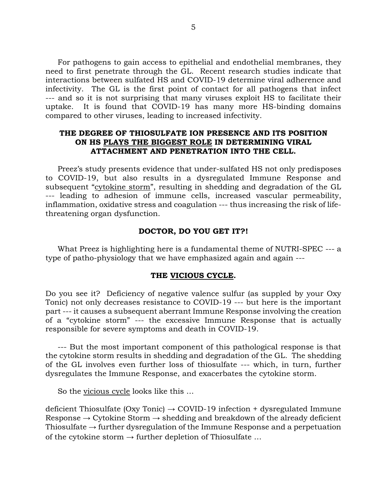For pathogens to gain access to epithelial and endothelial membranes, they need to first penetrate through the GL. Recent research studies indicate that interactions between sulfated HS and COVID-19 determine viral adherence and infectivity. The GL is the first point of contact for all pathogens that infect --- and so it is not surprising that many viruses exploit HS to facilitate their uptake. It is found that COVID-19 has many more HS-binding domains compared to other viruses, leading to increased infectivity.

## **THE DEGREE OF THIOSULFATE ION PRESENCE AND ITS POSITION ON HS PLAYS THE BIGGEST ROLE IN DETERMINING VIRAL ATTACHMENT AND PENETRATION INTO THE CELL.**

 Preez's study presents evidence that under-sulfated HS not only predisposes to COVID-19, but also results in a dysregulated Immune Response and subsequent "cytokine storm", resulting in shedding and degradation of the GL --- leading to adhesion of immune cells, increased vascular permeability, inflammation, oxidative stress and coagulation --- thus increasing the risk of lifethreatening organ dysfunction.

### **DOCTOR, DO YOU GET IT?!**

 What Preez is highlighting here is a fundamental theme of NUTRI-SPEC --- a type of patho-physiology that we have emphasized again and again ---

#### **THE VICIOUS CYCLE.**

Do you see it? Deficiency of negative valence sulfur (as suppled by your Oxy Tonic) not only decreases resistance to COVID-19 --- but here is the important part --- it causes a subsequent aberrant Immune Response involving the creation of a "cytokine storm" --- the excessive Immune Response that is actually responsible for severe symptoms and death in COVID-19.

 --- But the most important component of this pathological response is that the cytokine storm results in shedding and degradation of the GL. The shedding of the GL involves even further loss of thiosulfate --- which, in turn, further dysregulates the Immune Response, and exacerbates the cytokine storm.

So the vicious cycle looks like this …

deficient Thiosulfate (Oxy Tonic)  $\rightarrow$  COVID-19 infection + dysregulated Immune Response  $\rightarrow$  Cytokine Storm  $\rightarrow$  shedding and breakdown of the already deficient Thiosulfate  $\rightarrow$  further dysregulation of the Immune Response and a perpetuation of the cytokine storm  $\rightarrow$  further depletion of Thiosulfate ...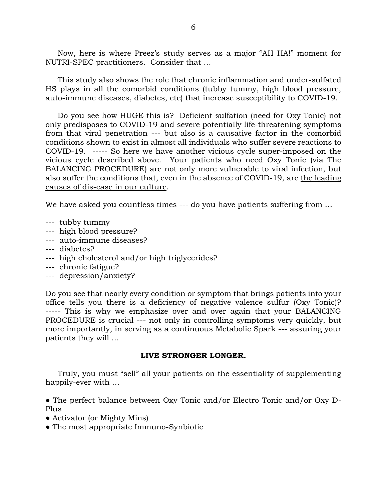Now, here is where Preez's study serves as a major "AH HA!" moment for NUTRI-SPEC practitioners. Consider that …

 This study also shows the role that chronic inflammation and under-sulfated HS plays in all the comorbid conditions (tubby tummy, high blood pressure, auto-immune diseases, diabetes, etc) that increase susceptibility to COVID-19.

 Do you see how HUGE this is? Deficient sulfation (need for Oxy Tonic) not only predisposes to COVID-19 and severe potentially life-threatening symptoms from that viral penetration --- but also is a causative factor in the comorbid conditions shown to exist in almost all individuals who suffer severe reactions to COVID-19. ----- So here we have another vicious cycle super-imposed on the vicious cycle described above. Your patients who need Oxy Tonic (via The BALANCING PROCEDURE) are not only more vulnerable to viral infection, but also suffer the conditions that, even in the absence of COVID-19, are the leading causes of dis-ease in our culture.

We have asked you countless times --- do you have patients suffering from ...

- --- tubby tummy
- --- high blood pressure?
- --- auto-immune diseases?
- --- diabetes?
- --- high cholesterol and/or high triglycerides?
- --- chronic fatigue?
- --- depression/anxiety?

Do you see that nearly every condition or symptom that brings patients into your office tells you there is a deficiency of negative valence sulfur (Oxy Tonic)? ----- This is why we emphasize over and over again that your BALANCING PROCEDURE is crucial --- not only in controlling symptoms very quickly, but more importantly, in serving as a continuous Metabolic Spark --- assuring your patients they will …

### **LIVE STRONGER LONGER.**

 Truly, you must "sell" all your patients on the essentiality of supplementing happily-ever with …

● The perfect balance between Oxy Tonic and/or Electro Tonic and/or Oxy D-Plus

- Activator (or Mighty Mins)
- The most appropriate Immuno-Synbiotic